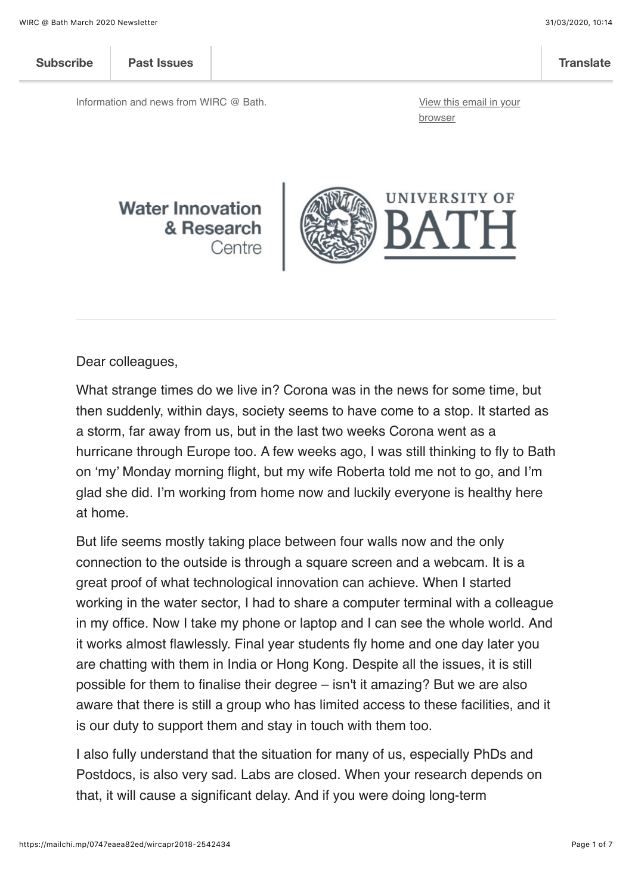| <b>Subscribe</b> | <b>Past Issues</b> | <b>Translate</b> |
|------------------|--------------------|------------------|
|                  |                    |                  |

Information and news from WIRC @ Bath. **Information and news from WIRC @ Bath. [View this email in your](https://mailchi.mp/0747eaea82ed/wircapr2018-2542434?e=%5BUNIQID%5D)** 

browser

#### **Water Innovation** & Research Centre



Dear colleagues,

What strange times do we live in? Corona was in the news for some time, but then suddenly, within days, society seems to have come to a stop. It started as a storm, far away from us, but in the last two weeks Corona went as a hurricane through Europe too. A few weeks ago, I was still thinking to fly to Bath on 'my' Monday morning flight, but my wife Roberta told me not to go, and I'm glad she did. I'm working from home now and luckily everyone is healthy here at home.

But life seems mostly taking place between four walls now and the only connection to the outside is through a square screen and a webcam. It is a great proof of what technological innovation can achieve. When I started working in the water sector, I had to share a computer terminal with a colleague in my office. Now I take my phone or laptop and I can see the whole world. And it works almost flawlessly. Final year students fly home and one day later you are chatting with them in India or Hong Kong. Despite all the issues, it is still possible for them to finalise their degree – isn't it amazing? But we are also aware that there is still a group who has limited access to these facilities, and it is our duty to support them and stay in touch with them too.

I also fully understand that the situation for many of us, especially PhDs and Postdocs, is also very sad. Labs are closed. When your research depends on that, it will cause a significant delay. And if you were doing long-term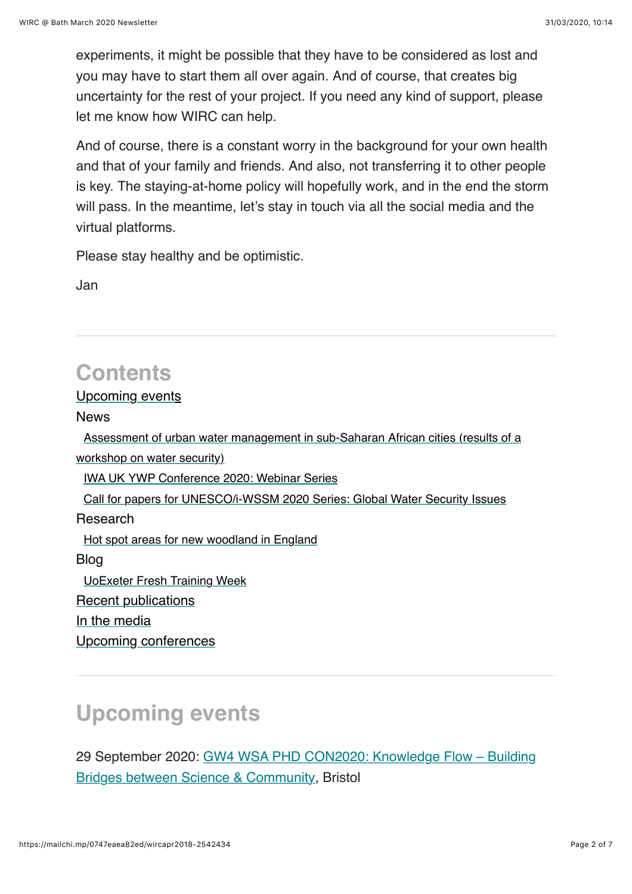experiments, it might be possible that they have to be considered as lost and you may have to start them all over again. And of course, that creates big uncertainty for the rest of your project. If you need any kind of support, please let me know how WIRC can help.

And of course, there is a constant worry in the background for your own health and that of your family and friends. And also, not transferring it to other people is key. The staying-at-home policy will hopefully work, and in the end the storm will pass. In the meantime, let's stay in touch via all the social media and the virtual platforms.

Please stay healthy and be optimistic.

Jan

# **Contents**

#### [Upcoming events](#page-1-0)

News

 [Assessment of urban water management in sub-Saharan African cities \(results of a](#page-2-0) workshop on water security) [IWA UK YWP Conference 2020: Webinar Series](#page-2-1) [Call for papers for UNESCO/i-WSSM 2020 Series: Global Water Security Issues](#page-3-0) Research [Hot spot areas for new woodland in England](#page-4-0) Blog [UoExeter Fresh Training Week](#page-4-1) [Recent publications](#page-4-2) [In the media](#page-5-0) [Upcoming conferences](#page-5-1)

# <span id="page-1-0"></span>**Upcoming events**

[29 September 2020: GW4 WSA PHD CON2020: Knowledge Flow – Building](https://www.gw4water.com/events/gw4-wsa-phd-con2020/) Bridges between Science & Community, Bristol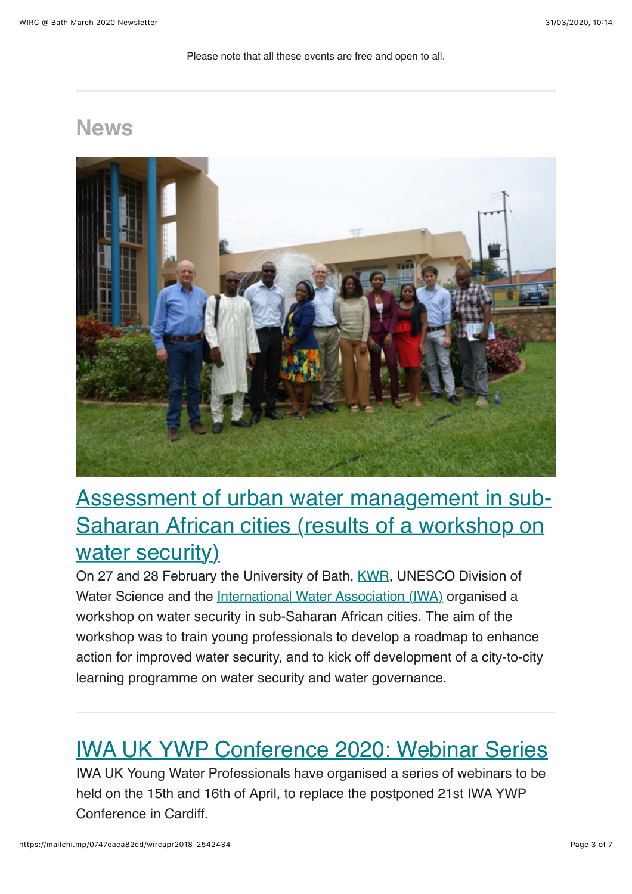Please note that all these events are free and open to all.

### **News**



## <span id="page-2-0"></span>[Assessment of urban water management in sub-](http://blogs.bath.ac.uk/water/2020/03/05/assessment-of-urban-water-management-in-sub-saharan-african-cities-results-of-a-workshop-on-water-security/)Saharan African cities (results of a workshop on water security)

On 27 and 28 February the University of Bath, [KWR,](https://www.kwrwater.nl/en/) UNESCO Division of Water Science and the [International Water Association \(IWA\)](https://iwa-network.org/) organised a workshop on water security in sub-Saharan African cities. The aim of the workshop was to train young professionals to develop a roadmap to enhance action for improved water security, and to kick off development of a city-to-city learning programme on water security and water governance.

### <span id="page-2-1"></span>[IWA UK YWP Conference 2020: Webinar Series](https://www.instituteofwater.org.uk/events-info/?id=1201)

IWA UK Young Water Professionals have organised a series of webinars to be held on the 15th and 16th of April, to replace the postponed 21st IWA YWP Conference in Cardiff.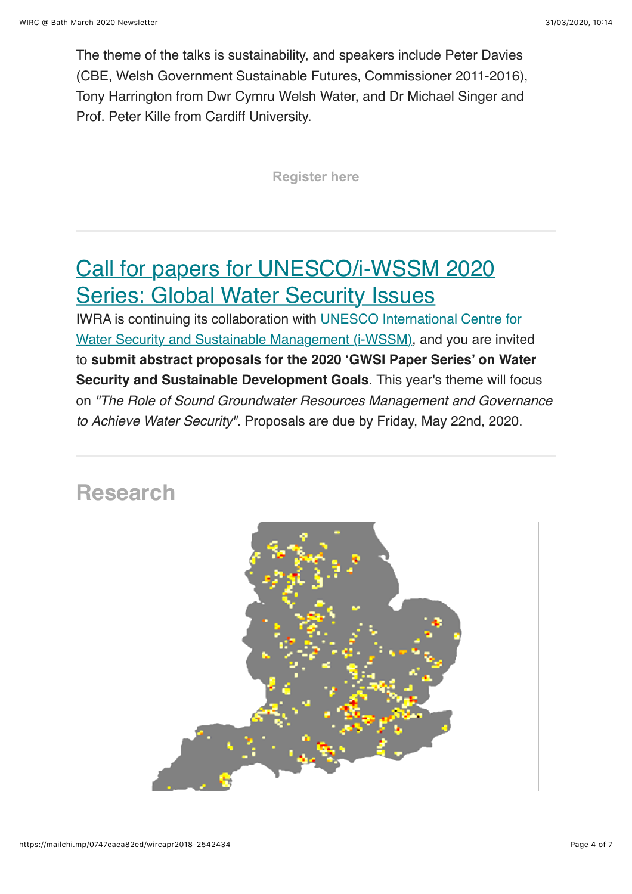The theme of the talks is sustainability, and speakers include Peter Davies (CBE, Welsh Government Sustainable Futures, Commissioner 2011-2016), Tony Harrington from Dwr Cymru Welsh Water, and Dr Michael Singer and Prof. Peter Kille from Cardiff University.

**[Register here](https://www.instituteofwater.org.uk/events-info/?id=1201)**

# <span id="page-3-0"></span>[Call for papers for UNESCO/i-WSSM 2020](http://www.iwra.org/unescoiwssm-callforpapers2020/) Series: Global Water Security Issues

[IWRA is continuing its collaboration with UNESCO International Centre for](https://eur01.safelinks.protection.outlook.com/?url=https://iwra.us9.list-manage.com/track/click?u=4aa69bf16ae24a85c3dd8a26a&id=1f900e0c47&e=eaff7db917&data=02%7C01%7Cjamhh20@bath.ac.uk%7Ca74d72cbf63548f802e508d7cf202db9%7C377e3d224ea1422db0ad8fcc89406b9e%7C0%7C0%7C637205609428598495&sdata=qDjzmWzqd5Fbaugev4eXsJfr7nBq31TMv7rWeC7KhuE=&reserved=0) Water Security and Sustainable Management (i-WSSM), and you are invited to **submit abstract proposals for the 2020 'GWSI Paper Series' on Water Security and Sustainable Development Goals**. This year's theme will focus on *"The Role of Sound Groundwater Resources Management and Governance to Achieve Water Security".* Proposals are due by Friday, May 22nd, 2020.

### **Research**

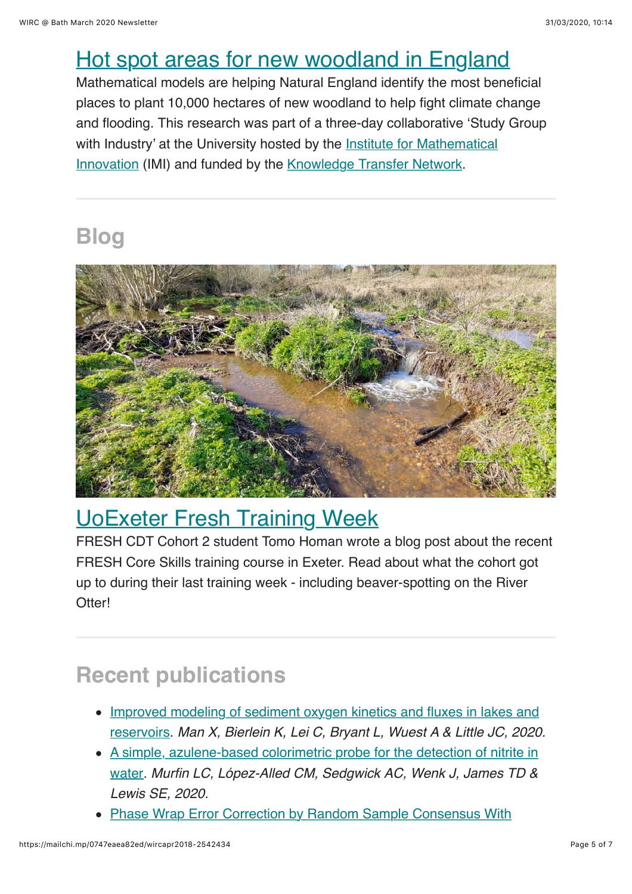### <span id="page-4-0"></span>[Hot spot areas for new woodland in England](https://www.bath.ac.uk/announcements/hot-spot-areas-for-new-woodland-in-england/)

Mathematical models are helping Natural England identify the most beneficial places to plant 10,000 hectares of new woodland to help fight climate change and flooding. This research was part of a three-day collaborative 'Study Group with Industry' at the University hosted by the **Institute for Mathematical** Innovation (IMI) and funded by the [Knowledge Transfer Network](https://ktn-uk.co.uk/).

# **Blog**



# <span id="page-4-1"></span>[UoExeter Fresh Training Week](https://watereddown.home.blog/2020/03/18/uoexeter-fresh-training-week/)

FRESH CDT Cohort 2 student Tomo Homan wrote a blog post about the recent FRESH Core Skills training course in Exeter. Read about what the cohort got up to during their last training week - including beaver-spotting on the River Otterl

# <span id="page-4-2"></span>**Recent publications**

- [Improved modeling of sediment oxygen kinetics and fluxes in lakes and](https://doi.org/10.1021/acs.est.9b04831) reservoirs. *Man X, Bierlein K, Lei C, Bryant L, Wuest A & Little JC, 2020.*
- [A simple, azulene-based colorimetric probe for the detection of nitrite in](https://doi.org/10.1007/s11705-019-1790-7) water. *Murfin LC, López-Alled CM, Sedgwick AC, Wenk J, James TD & Lewis SE, 2020.*
- [Phase Wrap Error Correction by Random Sample Consensus With](https://doi.org/10.1109/JOE.2019.2960582)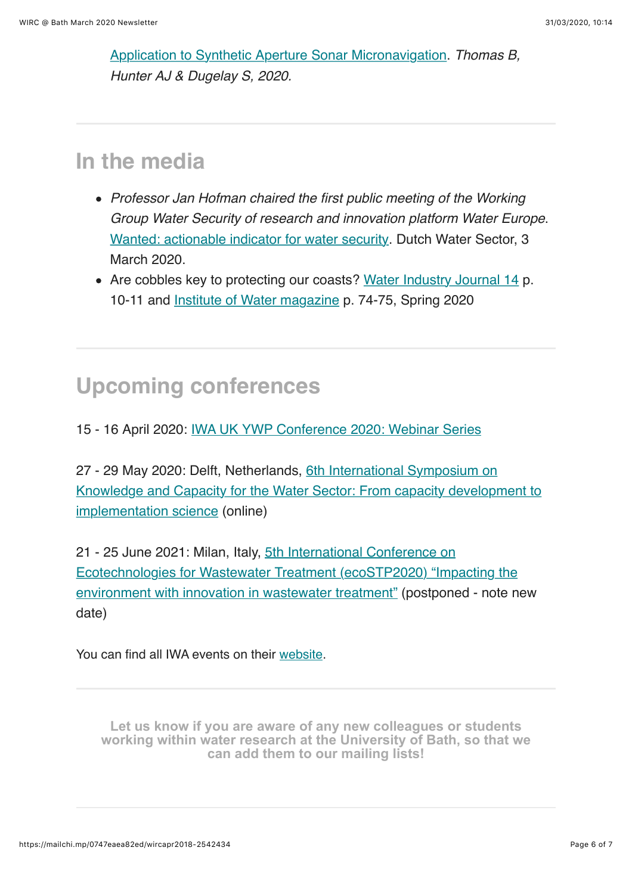[Application to Synthetic Aperture Sonar Micronavigation.](https://doi.org/10.1109/JOE.2019.2960582) *Thomas B, Hunter AJ & Dugelay S, 2020.*

### <span id="page-5-0"></span>**In the media**

- *Professor Jan Hofman chaired the first public meeting of the Working Group Water Security of research and innovation platform Water Europe*. [Wanted: actionable indicator for water security](https://www.dutchwatersector.com/news/wanted-actionable-indicator-for-water-security). Dutch Water Sector, 3 March 2020.
- Are cobbles key to protecting our coasts? [Water Industry Journal 14](https://issuu.com/distinctivepublishing/docs/wij14/10) p. 10-11 and [Institute of Water magazine](http://www.myebook.com/InstituteofWaterMagazine/spring-2020/2302/) p. 74-75, Spring 2020

### <span id="page-5-1"></span>**Upcoming conferences**

15 - 16 April 2020: [IWA UK YWP Conference 2020: Webinar Series](https://www.instituteofwater.org.uk/events-info/?id=1201)

27 - 29 May 2020: Delft, Netherlands, 6th International Symposium on [Knowledge and Capacity for the Water Sector: From capacity development to](https://iwa-network.org/events/6th-international-symposium-on-knowledge-and-capacity-for-the-water-sector-from-capacity-development-to-implementation-science/) implementation science (online)

21 - 25 June 2021: Milan, Italy, 5th International Conference on [Ecotechnologies for Wastewater Treatment \(ecoSTP2020\) "Impacting the](https://iwa-network.org/events/ecostp2020-impacting-the-environment-with-innovation-in-wastewater-treatment-supported/) environment with innovation in wastewater treatment" (postponed - note new date)

You can find all IWA events on their [website.](http://www.iwa-network.org/all-events/)

**Let us know if you are aware of any new colleagues or students [working within water research at the University of Bath, so that we](mailto:wirc-enquiries@bath.ac.uk?subject=New%20WIRC%20contact) can add them to our mailing lists!**